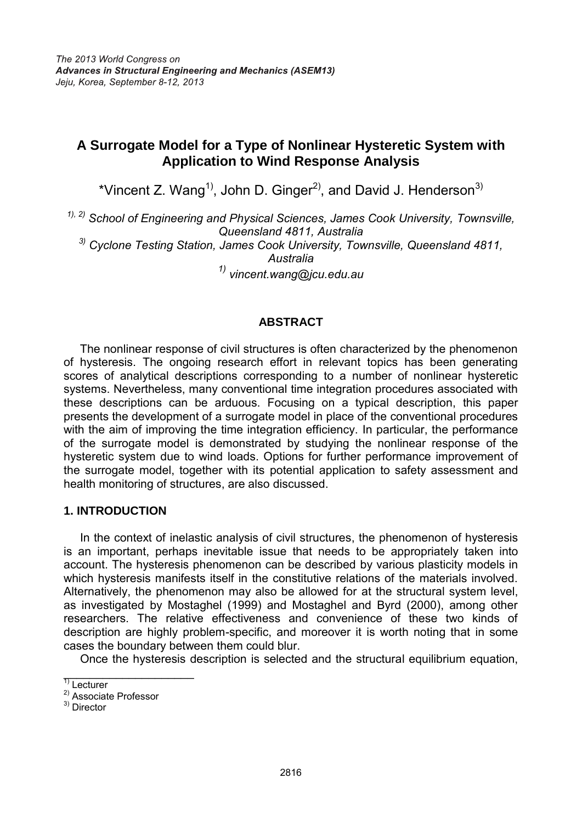# **A Surrogate Model for a Type of Nonlinear Hysteretic System with Application to Wind Response Analysis**

\*Vincent Z. Wang<sup>1)</sup>, John D. Ginger<sup>2)</sup>, and David J. Henderson<sup>3)</sup>

*1), 2) School of Engineering and Physical Sciences, James Cook University, Townsville, Queensland 4811, Australia 3) Cyclone Testing Station, James Cook University, Townsville, Queensland 4811, Australia 1) [vincent.wang@jcu.edu.au](mailto:vincent.wang@jcu.edu.au)* 

## **ABSTRACT**

 The nonlinear response of civil structures is often characterized by the phenomenon of hysteresis. The ongoing research effort in relevant topics has been generating scores of analytical descriptions corresponding to a number of nonlinear hysteretic systems. Nevertheless, many conventional time integration procedures associated with these descriptions can be arduous. Focusing on a typical description, this paper presents the development of a surrogate model in place of the conventional procedures with the aim of improving the time integration efficiency. In particular, the performance of the surrogate model is demonstrated by studying the nonlinear response of the hysteretic system due to wind loads. Options for further performance improvement of the surrogate model, together with its potential application to safety assessment and health monitoring of structures, are also discussed.

## **1. INTRODUCTION**

 In the context of inelastic analysis of civil structures, the phenomenon of hysteresis is an important, perhaps inevitable issue that needs to be appropriately taken into account. The hysteresis phenomenon can be described by various plasticity models in which hysteresis manifests itself in the constitutive relations of the materials involved. Alternatively, the phenomenon may also be allowed for at the structural system level, as investigated by Mostaghel (1999) and Mostaghel and Byrd (2000), among other researchers. The relative effectiveness and convenience of these two kinds of description are highly problem-specific, and moreover it is worth noting that in some cases the boundary between them could blur.

Once the hysteresis description is selected and the structural equilibrium equation,

 $\overline{\phantom{a}}$  , and the set of the set of the set of the set of the set of the set of the set of the set of the set of the set of the set of the set of the set of the set of the set of the set of the set of the set of the s  $\overline{1}$  Lecturer

<sup>2)</sup> Associate Professor

<sup>3)</sup> Director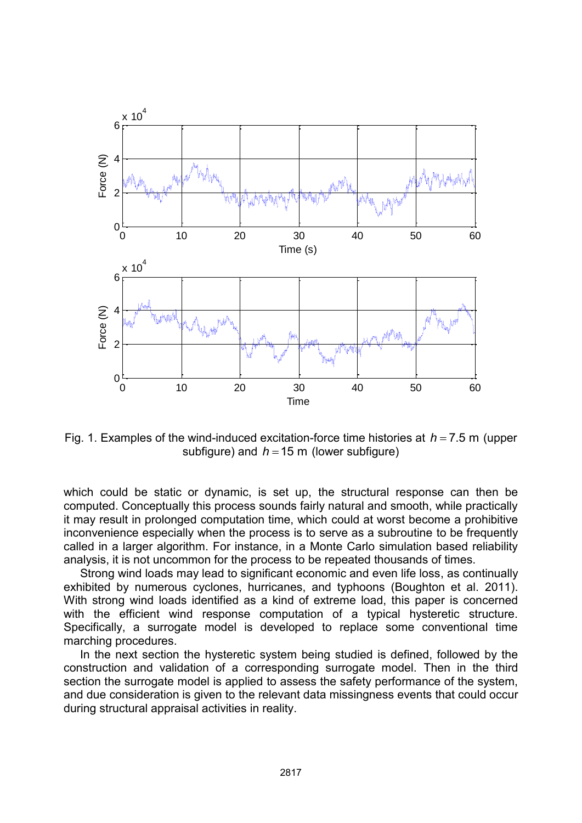

Fig. 1. Examples of the wind-induced excitation-force time histories at  $h = 7.5$  m (upper subfigure) and  $h = 15$  m (lower subfigure)

which could be static or dynamic, is set up, the structural response can then be computed. Conceptually this process sounds fairly natural and smooth, while practically it may result in prolonged computation time, which could at worst become a prohibitive inconvenience especially when the process is to serve as a subroutine to be frequently called in a larger algorithm. For instance, in a Monte Carlo simulation based reliability analysis, it is not uncommon for the process to be repeated thousands of times.

 Strong wind loads may lead to significant economic and even life loss, as continually exhibited by numerous cyclones, hurricanes, and typhoons (Boughton et al. 2011). With strong wind loads identified as a kind of extreme load, this paper is concerned with the efficient wind response computation of a typical hysteretic structure. Specifically, a surrogate model is developed to replace some conventional time marching procedures.

 In the next section the hysteretic system being studied is defined, followed by the construction and validation of a corresponding surrogate model. Then in the third section the surrogate model is applied to assess the safety performance of the system, and due consideration is given to the relevant data missingness events that could occur during structural appraisal activities in reality.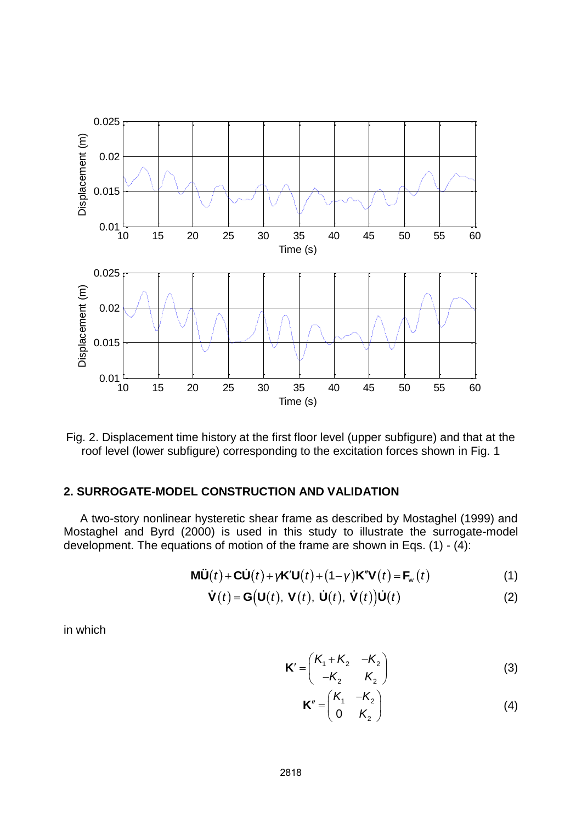



## **2. SURROGATE-MODEL CONSTRUCTION AND VALIDATION**

A two-story nonlinear hysteretic shear frame as described by Mostaghel (1999) and Mostaghel and Byrd (2000) is used in this study to illustrate the surrogate-model development. The equations of motion of the frame are shown in Eqs. (1) -  $(4)$ :

$$
\mathbf{M}\ddot{\mathbf{U}}(t) + \mathbf{C}\dot{\mathbf{U}}(t) + \gamma \mathbf{K}'\mathbf{U}(t) + (1 - \gamma)\mathbf{K}''\mathbf{V}(t) = \mathbf{F}_{\mathbf{w}}(t)
$$
 (1)

$$
\dot{\mathbf{V}}(t) = \mathbf{G}(\mathbf{U}(t), \mathbf{V}(t), \dot{\mathbf{U}}(t), \dot{\mathbf{V}}(t))\dot{\mathbf{U}}(t)
$$
 (2)

in which

$$
\mathbf{K}' = \begin{pmatrix} \mathbf{K}_1 + \mathbf{K}_2 & -\mathbf{K}_2 \\ -\mathbf{K}_2 & \mathbf{K}_2 \end{pmatrix}
$$
 (3)

$$
\mathbf{K}'' = \begin{pmatrix} \mathbf{K}_1 & -\mathbf{K}_2 \\ 0 & \mathbf{K}_2 \end{pmatrix}
$$
 (4)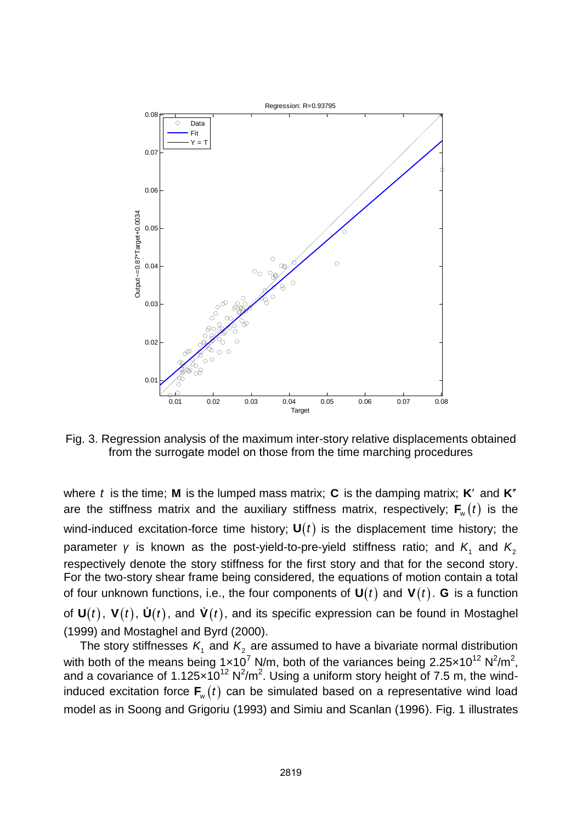

Fig. 3. Regression analysis of the maximum inter-story relative displacements obtained from the surrogate model on those from the time marching procedures

where *t* is the time; **M** is the lumped mass matrix; **C** is the damping matrix; **K** and **K**<sup>*n*</sup> are the stiffness matrix and the auxiliary stiffness matrix, respectively;  $\mathbf{F}_{w}(t)$  is the wind-induced excitation-force time history;  $U(t)$  is the displacement time history; the parameter *γ* is known as the post-yield-to-pre-yield stiffness ratio; and  $K_1$  and  $K_2$ respectively denote the story stiffness for the first story and that for the second story. For the two-story shear frame being considered, the equations of motion contain a total of four unknown functions, i.e., the four components of  $U(t)$  and  $V(t)$ . **G** is a function of  $U(t)$ ,  $V(t)$ ,  $U(t)$ , and  $V(t)$ , and its specific expression can be found in Mostaghel (1999) and Mostaghel and Byrd (2000).

The story stiffnesses  $K_1$  and  $K_2$  are assumed to have a bivariate normal distribution with both of the means being 1x10<sup>7</sup> N/m, both of the variances being 2.25x10<sup>12</sup> N<sup>2</sup>/m<sup>2</sup>, and a covariance of 1.125 $\times$ 10<sup>12</sup> N<sup>2</sup>/m<sup>2</sup>. Using a uniform story height of 7.5 m, the windinduced excitation force  $\mathbf{F}_{w}(t)$  can be simulated based on a representative wind load model as in Soong and Grigoriu (1993) and Simiu and Scanlan (1996). Fig. 1 illustrates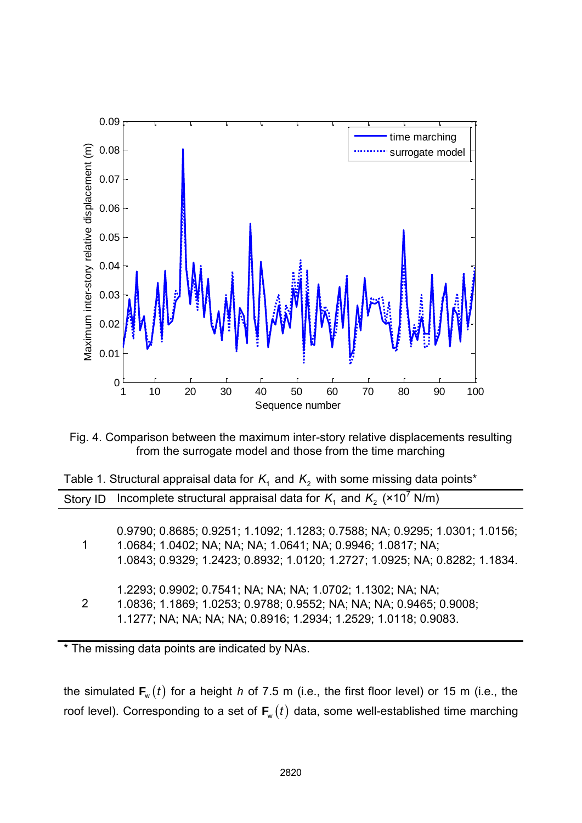

Fig. 4. Comparison between the maximum inter-story relative displacements resulting from the surrogate model and those from the time marching

| Table 1. Structural appraisal data for $K1$ and $K2$ with some missing data points* |                                                                                                                                                                                                                           |  |
|-------------------------------------------------------------------------------------|---------------------------------------------------------------------------------------------------------------------------------------------------------------------------------------------------------------------------|--|
| Story ID                                                                            | Incomplete structural appraisal data for $K_1$ and $K_2$ ( $\times 10^7$ N/m)                                                                                                                                             |  |
|                                                                                     | 0.9790; 0.8685; 0.9251; 1.1092; 1.1283; 0.7588; NA; 0.9295; 1.0301; 1.0156;<br>1.0684; 1.0402; NA; NA; NA; 1.0641; NA; 0.9946; 1.0817; NA;<br>1.0843; 0.9329; 1.2423; 0.8932; 1.0120; 1.2727; 1.0925; NA; 0.8282; 1.1834. |  |
| $\overline{2}$                                                                      | 1.2293; 0.9902; 0.7541; NA; NA; NA; 1.0702; 1.1302; NA; NA;<br>1.0836; 1.1869; 1.0253; 0.9788; 0.9552; NA; NA; NA; 0.9465; 0.9008;<br>1.1277; NA; NA; NA; NA; 0.8916; 1.2934; 1.2529; 1.0118; 0.9083.                     |  |

\* The missing data points are indicated by NAs.

the simulated  $\mathsf{F}_\mathrm{w}(t)$  for a height *h* of 7.5 m (i.e., the first floor level) or 15 m (i.e., the roof level). Corresponding to a set of  $F_w(t)$  data, some well-established time marching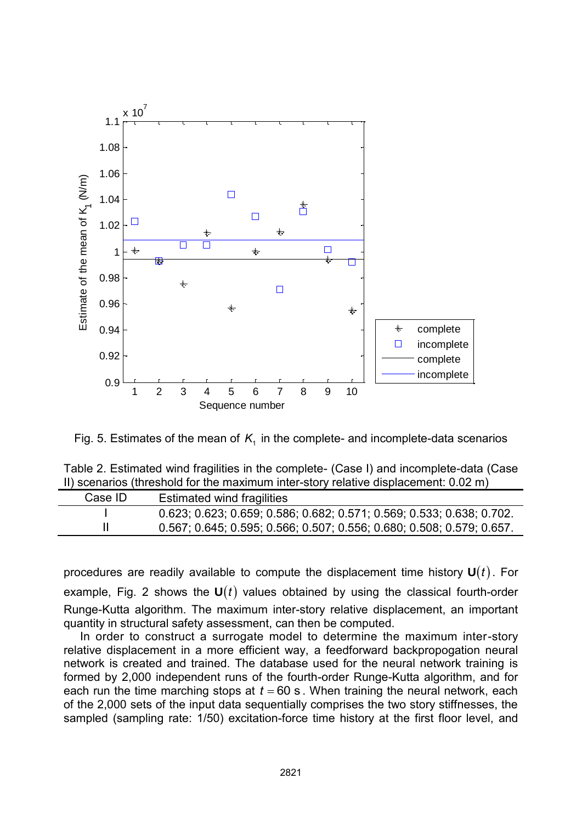

Fig. 5. Estimates of the mean of  $K<sub>1</sub>$  in the complete- and incomplete-data scenarios

| Table 2. Estimated wind fragilities in the complete- (Case I) and incomplete-data (Case |  |
|-----------------------------------------------------------------------------------------|--|
| II) scenarios (threshold for the maximum inter-story relative displacement: 0.02 m)     |  |

| Case ID | Estimated wind fragilities                                            |
|---------|-----------------------------------------------------------------------|
|         | 0.623, 0.623, 0.659, 0.586, 0.682, 0.571, 0.569, 0.533, 0.638, 0.702. |
|         | 0.567, 0.645, 0.595, 0.566, 0.507, 0.556, 0.680, 0.508, 0.579, 0.657. |

procedures are readily available to compute the displacement time history  $U(t)$ . For example, Fig. 2 shows the  $U(t)$  values obtained by using the classical fourth-order Runge-Kutta algorithm. The maximum inter-story relative displacement, an important quantity in structural safety assessment, can then be computed.

 In order to construct a surrogate model to determine the maximum inter-story relative displacement in a more efficient way, a feedforward backpropogation neural network is created and trained. The database used for the neural network training is formed by 2,000 independent runs of the fourth-order Runge-Kutta algorithm, and for each run the time marching stops at  $t = 60$  s. When training the neural network, each of the 2,000 sets of the input data sequentially comprises the two story stiffnesses, the sampled (sampling rate: 1/50) excitation-force time history at the first floor level, and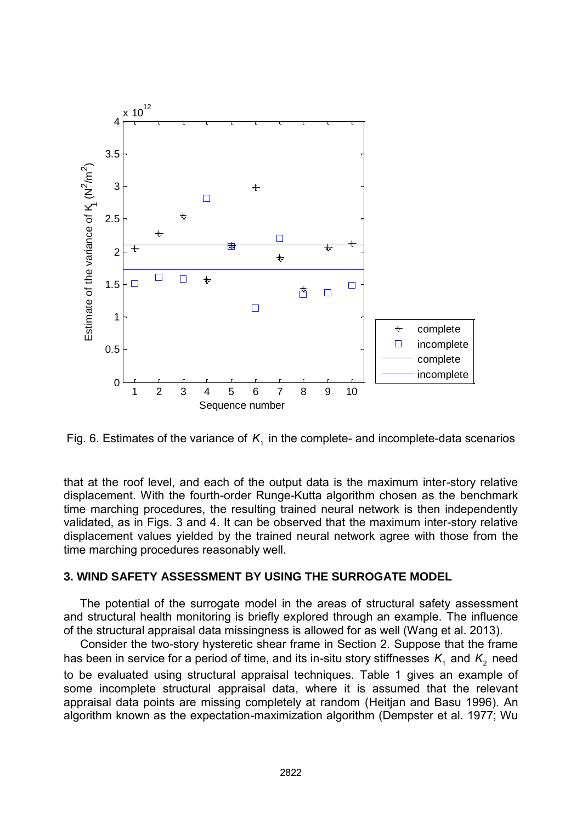

Fig. 6. Estimates of the variance of  $K<sub>1</sub>$  in the complete- and incomplete-data scenarios

that at the roof level, and each of the output data is the maximum inter-story relative displacement. With the fourth-order Runge-Kutta algorithm chosen as the benchmark time marching procedures, the resulting trained neural network is then independently validated, as in Figs. 3 and 4. It can be observed that the maximum inter-story relative displacement values yielded by the trained neural network agree with those from the time marching procedures reasonably well.

## **3. WIND SAFETY ASSESSMENT BY USING THE SURROGATE MODEL**

 The potential of the surrogate model in the areas of structural safety assessment and structural health monitoring is briefly explored through an example. The influence of the structural appraisal data missingness is allowed for as well (Wang et al. 2013).

 Consider the two-story hysteretic shear frame in Section 2. Suppose that the frame has been in service for a period of time, and its in-situ story stiffnesses  $K<sub>1</sub>$  and  $K<sub>2</sub>$  need to be evaluated using structural appraisal techniques. Table 1 gives an example of some incomplete structural appraisal data, where it is assumed that the relevant appraisal data points are missing completely at random (Heitjan and Basu 1996). An algorithm known as the expectation-maximization algorithm (Dempster et al. 1977; Wu